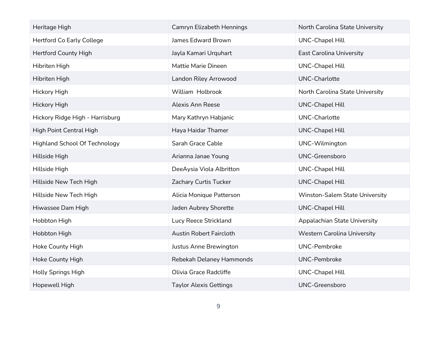| Heritage High                        | Camryn Elizabeth Hennings      | North Carolina State University    |
|--------------------------------------|--------------------------------|------------------------------------|
| <b>Hertford Co Early College</b>     | James Edward Brown             | <b>UNC-Chapel Hill</b>             |
| <b>Hertford County High</b>          | Jayla Kamari Urquhart          | East Carolina University           |
| Hibriten High                        | Mattie Marie Dineen            | <b>UNC-Chapel Hill</b>             |
| Hibriten High                        | Landon Riley Arrowood          | <b>UNC-Charlotte</b>               |
| Hickory High                         | William Holbrook               | North Carolina State University    |
| <b>Hickory High</b>                  | <b>Alexis Ann Reese</b>        | <b>UNC-Chapel Hill</b>             |
| Hickory Ridge High - Harrisburg      | Mary Kathryn Habjanic          | <b>UNC-Charlotte</b>               |
| High Point Central High              | Haya Haidar Thamer             | <b>UNC-Chapel Hill</b>             |
| <b>Highland School Of Technology</b> | Sarah Grace Cable              | UNC-Wilmington                     |
| Hillside High                        | Arianna Janae Young            | UNC-Greensboro                     |
| Hillside High                        | DeeAysia Viola Albritton       | <b>UNC-Chapel Hill</b>             |
| Hillside New Tech High               | Zachary Curtis Tucker          | <b>UNC-Chapel Hill</b>             |
| Hillside New Tech High               | Alicia Monique Patterson       | Winston-Salem State University     |
| Hiwassee Dam High                    | Jaden Aubrey Shorette          | <b>UNC-Chapel Hill</b>             |
| Hobbton High                         | Lucy Reece Strickland          | Appalachian State University       |
| Hobbton High                         | <b>Austin Robert Faircloth</b> | <b>Western Carolina University</b> |
| Hoke County High                     | Justus Anne Brewington         | <b>UNC-Pembroke</b>                |
| Hoke County High                     | Rebekah Delaney Hammonds       | <b>UNC-Pembroke</b>                |
| <b>Holly Springs High</b>            | Olivia Grace Radcliffe         | <b>UNC-Chapel Hill</b>             |
| Hopewell High                        | <b>Taylor Alexis Gettings</b>  | <b>UNC-Greensboro</b>              |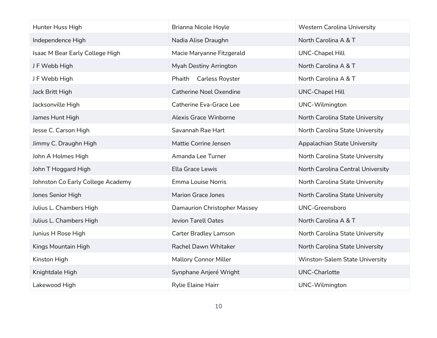| Hunter Huss High                  | Brianna Nicole Hoyle             | <b>Western Carolina University</b> |
|-----------------------------------|----------------------------------|------------------------------------|
| Independence High                 | Nadia Alise Draughn              | North Carolina A & T               |
| Isaac M Bear Early College High   | Macie Maryanne Fitzgerald        | <b>UNC-Chapel Hill</b>             |
| J F Webb High                     | Myah Destiny Arrington           | North Carolina A & T               |
| JF Webb High                      | Phaith<br><b>Carless Royster</b> | North Carolina A & T               |
| Jack Britt High                   | <b>Catherine Noel Oxendine</b>   | <b>UNC-Chapel Hill</b>             |
| Jacksonville High                 | Catherine Eva-Grace Lee          | UNC-Wilmington                     |
| James Hunt High                   | <b>Alexis Grace Winborne</b>     | North Carolina State University    |
| Jesse C. Carson High              | Savannah Rae Hart                | North Carolina State University    |
| Jimmy C. Draughn High             | Mattie Corrine Jensen            | Appalachian State University       |
| John A Holmes High                | Amanda Lee Turner                | North Carolina State University    |
| John T Hoggard High               | Ella Grace Lewis                 | North Carolina Central University  |
| Johnston Co Early College Academy | <b>Emma Louise Norris</b>        | North Carolina State University    |
| Jones Senior High                 | <b>Marion Grace Jones</b>        | North Carolina State University    |
| Julius L. Chambers High           | Damaurion Christopher Massey     | <b>UNC-Greensboro</b>              |
| Julius L. Chambers High           | <b>Jevion Tarell Oates</b>       | North Carolina A & T               |
| Junius H Rose High                | <b>Carter Bradley Lamson</b>     | North Carolina State University    |
| Kings Mountain High               | Rachel Dawn Whitaker             | North Carolina State University    |
| Kinston High                      | <b>Mallory Connor Miller</b>     | Winston-Salem State University     |
| Knightdale High                   | Synphane Anjeré Wright           | <b>UNC-Charlotte</b>               |
| Lakewood High                     | Rylie Elaine Hairr               | UNC-Wilmington                     |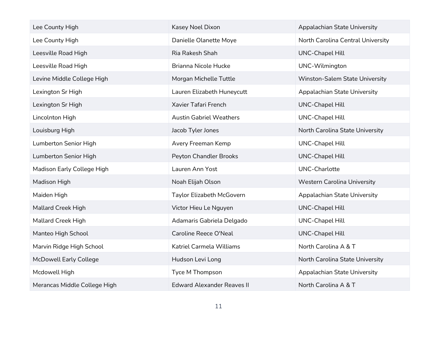| Lee County High               | Kasey Noel Dixon                  | Appalachian State University       |
|-------------------------------|-----------------------------------|------------------------------------|
| Lee County High               | Danielle Olanette Moye            | North Carolina Central University  |
| Leesville Road High           | Ria Rakesh Shah                   | <b>UNC-Chapel Hill</b>             |
| Leesville Road High           | Brianna Nicole Hucke              | UNC-Wilmington                     |
| Levine Middle College High    | Morgan Michelle Tuttle            | Winston-Salem State University     |
| Lexington Sr High             | Lauren Elizabeth Huneycutt        | Appalachian State University       |
| Lexington Sr High             | Xavier Tafari French              | <b>UNC-Chapel Hill</b>             |
| Lincolnton High               | <b>Austin Gabriel Weathers</b>    | <b>UNC-Chapel Hill</b>             |
| Louisburg High                | Jacob Tyler Jones                 | North Carolina State University    |
| Lumberton Senior High         | Avery Freeman Kemp                | <b>UNC-Chapel Hill</b>             |
| Lumberton Senior High         | Peyton Chandler Brooks            | <b>UNC-Chapel Hill</b>             |
| Madison Early College High    | Lauren Ann Yost                   | <b>UNC-Charlotte</b>               |
| Madison High                  | Noah Elijah Olson                 | <b>Western Carolina University</b> |
| Maiden High                   | Taylor Elizabeth McGovern         | Appalachian State University       |
| <b>Mallard Creek High</b>     | Victor Hieu Le Nguyen             | <b>UNC-Chapel Hill</b>             |
| <b>Mallard Creek High</b>     | Adamaris Gabriela Delgado         | <b>UNC-Chapel Hill</b>             |
| Manteo High School            | Caroline Reece O'Neal             | <b>UNC-Chapel Hill</b>             |
| Marvin Ridge High School      | Katriel Carmela Williams          | North Carolina A & T               |
| <b>McDowell Early College</b> | Hudson Levi Long                  | North Carolina State University    |
| Mcdowell High                 | Tyce M Thompson                   | Appalachian State University       |
| Merancas Middle College High  | <b>Edward Alexander Reaves II</b> | North Carolina A & T               |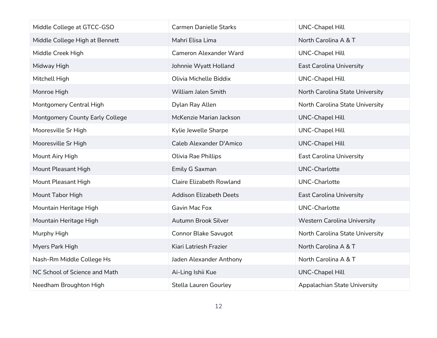| Middle College at GTCC-GSO      | <b>Carmen Danielle Starks</b>   | <b>UNC-Chapel Hill</b>             |
|---------------------------------|---------------------------------|------------------------------------|
| Middle College High at Bennett  | Mahri Elisa Lima                | North Carolina A & T               |
| Middle Creek High               | <b>Cameron Alexander Ward</b>   | <b>UNC-Chapel Hill</b>             |
| Midway High                     | Johnnie Wyatt Holland           | <b>East Carolina University</b>    |
| Mitchell High                   | Olivia Michelle Biddix          | <b>UNC-Chapel Hill</b>             |
| Monroe High                     | William Jalen Smith             | North Carolina State University    |
| Montgomery Central High         | Dylan Ray Allen                 | North Carolina State University    |
| Montgomery County Early College | McKenzie Marian Jackson         | <b>UNC-Chapel Hill</b>             |
| Mooresville Sr High             | Kylie Jewelle Sharpe            | <b>UNC-Chapel Hill</b>             |
| Mooresville Sr High             | Caleb Alexander D'Amico         | <b>UNC-Chapel Hill</b>             |
| Mount Airy High                 | Olivia Rae Phillips             | <b>East Carolina University</b>    |
| Mount Pleasant High             | Emily G Saxman                  | <b>UNC-Charlotte</b>               |
| Mount Pleasant High             | <b>Claire Elizabeth Rowland</b> | <b>UNC-Charlotte</b>               |
| Mount Tabor High                | <b>Addison Elizabeth Deets</b>  | <b>East Carolina University</b>    |
| Mountain Heritage High          | Gavin Mac Fox                   | <b>UNC-Charlotte</b>               |
| Mountain Heritage High          | Autumn Brook Silver             | <b>Western Carolina University</b> |
| Murphy High                     | <b>Connor Blake Savugot</b>     | North Carolina State University    |
| Myers Park High                 | Kiari Latriesh Frazier          | North Carolina A & T               |
| Nash-Rm Middle College Hs       | Jaden Alexander Anthony         | North Carolina A & T               |
| NC School of Science and Math   | Ai-Ling Ishii Kue               | <b>UNC-Chapel Hill</b>             |
| Needham Broughton High          | <b>Stella Lauren Gourley</b>    | Appalachian State University       |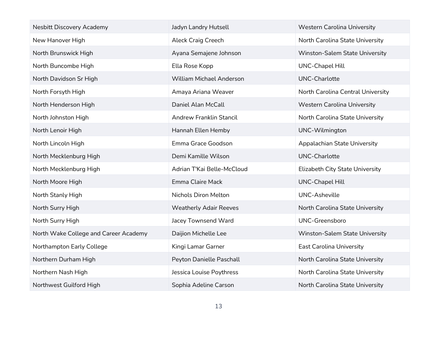| <b>Nesbitt Discovery Academy</b>      | Jadyn Landry Hutsell            | <b>Western Carolina University</b> |
|---------------------------------------|---------------------------------|------------------------------------|
| New Hanover High                      | <b>Aleck Craig Creech</b>       | North Carolina State University    |
| North Brunswick High                  | Ayana Semajene Johnson          | Winston-Salem State University     |
| North Buncombe High                   | Ella Rose Kopp                  | <b>UNC-Chapel Hill</b>             |
| North Davidson Sr High                | <b>William Michael Anderson</b> | UNC-Charlotte                      |
| North Forsyth High                    | Amaya Ariana Weaver             | North Carolina Central University  |
| North Henderson High                  | Daniel Alan McCall              | <b>Western Carolina University</b> |
| North Johnston High                   | Andrew Franklin Stancil         | North Carolina State University    |
| North Lenoir High                     | Hannah Ellen Hemby              | UNC-Wilmington                     |
| North Lincoln High                    | Emma Grace Goodson              | Appalachian State University       |
| North Mecklenburg High                | Demi Kamille Wilson             | <b>UNC-Charlotte</b>               |
| North Mecklenburg High                | Adrian T'Kai Belle-McCloud      | Elizabeth City State University    |
| North Moore High                      | Emma Claire Mack                | <b>UNC-Chapel Hill</b>             |
| North Stanly High                     | Nichols Diron Melton            | <b>UNC-Asheville</b>               |
| North Surry High                      | <b>Weatherly Adair Reeves</b>   | North Carolina State University    |
| North Surry High                      | Jacey Townsend Ward             | UNC-Greensboro                     |
| North Wake College and Career Academy | Daijion Michelle Lee            | Winston-Salem State University     |
| Northampton Early College             | Kingi Lamar Garner              | <b>East Carolina University</b>    |
| Northern Durham High                  | Peyton Danielle Paschall        | North Carolina State University    |
| Northern Nash High                    | Jessica Louise Poythress        | North Carolina State University    |
| Northwest Guilford High               | Sophia Adeline Carson           | North Carolina State University    |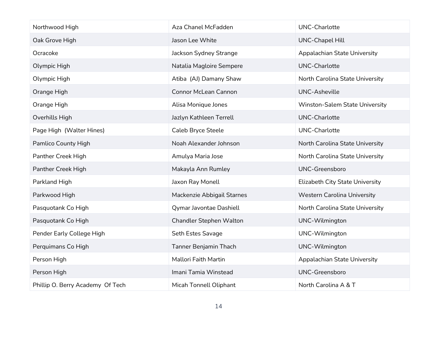| Northwood High                   | Aza Chanel McFadden         | UNC-Charlotte                      |
|----------------------------------|-----------------------------|------------------------------------|
| Oak Grove High                   | Jason Lee White             | <b>UNC-Chapel Hill</b>             |
| Ocracoke                         | Jackson Sydney Strange      | Appalachian State University       |
| Olympic High                     | Natalia Magloire Sempere    | <b>UNC-Charlotte</b>               |
| Olympic High                     | Atiba (AJ) Damany Shaw      | North Carolina State University    |
| Orange High                      | <b>Connor McLean Cannon</b> | <b>UNC-Asheville</b>               |
| Orange High                      | Alisa Monique Jones         | Winston-Salem State University     |
| Overhills High                   | Jazlyn Kathleen Terrell     | <b>UNC-Charlotte</b>               |
| Page High (Walter Hines)         | Caleb Bryce Steele          | <b>UNC-Charlotte</b>               |
| Pamlico County High              | Noah Alexander Johnson      | North Carolina State University    |
| Panther Creek High               | Amulya Maria Jose           | North Carolina State University    |
| Panther Creek High               | Makayla Ann Rumley          | UNC-Greensboro                     |
| Parkland High                    | Jaxon Ray Monell            | Elizabeth City State University    |
| Parkwood High                    | Mackenzie Abbigail Starnes  | <b>Western Carolina University</b> |
| Pasquotank Co High               | Qymar Javontae Dashiell     | North Carolina State University    |
| Pasquotank Co High               | Chandler Stephen Walton     | UNC-Wilmington                     |
| Pender Early College High        | Seth Estes Savage           | UNC-Wilmington                     |
| Perquimans Co High               | Tanner Benjamin Thach       | UNC-Wilmington                     |
| Person High                      | Mallori Faith Martin        | Appalachian State University       |
| Person High                      | Imani Tamia Winstead        | UNC-Greensboro                     |
| Phillip O. Berry Academy Of Tech | Micah Tonnell Oliphant      | North Carolina A & T               |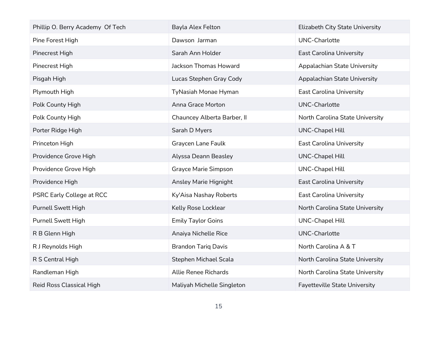| Phillip O. Berry Academy Of Tech | Bayla Alex Felton           | <b>Elizabeth City State University</b> |
|----------------------------------|-----------------------------|----------------------------------------|
| Pine Forest High                 | Dawson Jarman               | <b>UNC-Charlotte</b>                   |
| Pinecrest High                   | Sarah Ann Holder            | East Carolina University               |
| Pinecrest High                   | Jackson Thomas Howard       | Appalachian State University           |
| Pisgah High                      | Lucas Stephen Gray Cody     | Appalachian State University           |
| Plymouth High                    | TyNasiah Monae Hyman        | <b>East Carolina University</b>        |
| Polk County High                 | Anna Grace Morton           | <b>UNC-Charlotte</b>                   |
| Polk County High                 | Chauncey Alberta Barber, II | North Carolina State University        |
| Porter Ridge High                | Sarah D Myers               | <b>UNC-Chapel Hill</b>                 |
| Princeton High                   | Graycen Lane Faulk          | <b>East Carolina University</b>        |
| Providence Grove High            | Alyssa Deann Beasley        | <b>UNC-Chapel Hill</b>                 |
| Providence Grove High            | <b>Grayce Marie Simpson</b> | <b>UNC-Chapel Hill</b>                 |
| Providence High                  | Ansley Marie Hignight       | <b>East Carolina University</b>        |
| <b>PSRC Early College at RCC</b> | Ky'Aisa Nashay Roberts      | <b>East Carolina University</b>        |
| <b>Purnell Swett High</b>        | Kelly Rose Locklear         | North Carolina State University        |
| <b>Purnell Swett High</b>        | <b>Emily Taylor Goins</b>   | <b>UNC-Chapel Hill</b>                 |
| R B Glenn High                   | Anaiya Nichelle Rice        | <b>UNC-Charlotte</b>                   |
| R J Reynolds High                | <b>Brandon Tariq Davis</b>  | North Carolina A & T                   |
| R S Central High                 | Stephen Michael Scala       | North Carolina State University        |
| Randleman High                   | <b>Allie Renee Richards</b> | North Carolina State University        |
| <b>Reid Ross Classical High</b>  | Maliyah Michelle Singleton  | <b>Fayetteville State University</b>   |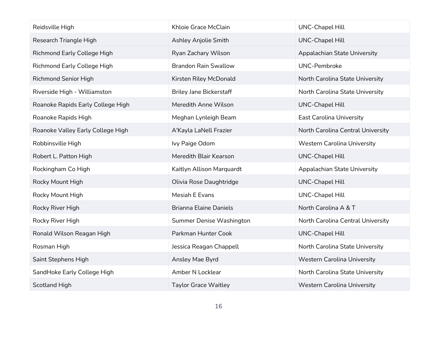| Reidsville High                   | Khloie Grace McClain           | <b>UNC-Chapel Hill</b>             |
|-----------------------------------|--------------------------------|------------------------------------|
| Research Triangle High            | <b>Ashley Anjolie Smith</b>    | <b>UNC-Chapel Hill</b>             |
| Richmond Early College High       | Ryan Zachary Wilson            | Appalachian State University       |
| Richmond Early College High       | <b>Brandon Rain Swallow</b>    | <b>UNC-Pembroke</b>                |
| <b>Richmond Senior High</b>       | Kirsten Riley McDonald         | North Carolina State University    |
| Riverside High - Williamston      | <b>Briley Jane Bickerstaff</b> | North Carolina State University    |
| Roanoke Rapids Early College High | Meredith Anne Wilson           | <b>UNC-Chapel Hill</b>             |
| Roanoke Rapids High               | Meghan Lynleigh Beam           | <b>East Carolina University</b>    |
| Roanoke Valley Early College High | A'Kayla LaNell Frazier         | North Carolina Central University  |
| Robbinsville High                 | Ivy Paige Odom                 | <b>Western Carolina University</b> |
| Robert L. Patton High             | Meredith Blair Kearson         | <b>UNC-Chapel Hill</b>             |
| Rockingham Co High                | Kaitlyn Allison Marquardt      | Appalachian State University       |
| Rocky Mount High                  | Olivia Rose Daughtridge        | <b>UNC-Chapel Hill</b>             |
| Rocky Mount High                  | Mesiah E Evans                 | <b>UNC-Chapel Hill</b>             |
| Rocky River High                  | <b>Brianna Elaine Daniels</b>  | North Carolina A & T               |
| Rocky River High                  | Summer Denise Washington       | North Carolina Central University  |
| Ronald Wilson Reagan High         | Parkman Hunter Cook            | <b>UNC-Chapel Hill</b>             |
| Rosman High                       | Jessica Reagan Chappell        | North Carolina State University    |
| Saint Stephens High               | Ansley Mae Byrd                | <b>Western Carolina University</b> |
| SandHoke Early College High       | Amber N Locklear               | North Carolina State University    |
| <b>Scotland High</b>              | <b>Taylor Grace Waitley</b>    | <b>Western Carolina University</b> |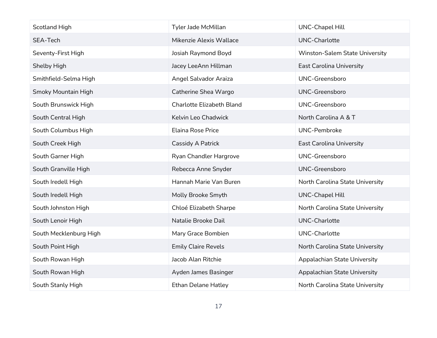| <b>Scotland High</b>       | Tyler Jade McMillan        | <b>UNC-Chapel Hill</b>          |
|----------------------------|----------------------------|---------------------------------|
| SEA-Tech                   | Mikenzie Alexis Wallace    | <b>UNC-Charlotte</b>            |
| Seventy-First High         | Josiah Raymond Boyd        | Winston-Salem State University  |
| Shelby High                | Jacey LeeAnn Hillman       | <b>East Carolina University</b> |
| Smithfield-Selma High      | Angel Salvador Araiza      | <b>UNC-Greensboro</b>           |
| <b>Smoky Mountain High</b> | Catherine Shea Wargo       | UNC-Greensboro                  |
| South Brunswick High       | Charlotte Elizabeth Bland  | UNC-Greensboro                  |
| South Central High         | Kelvin Leo Chadwick        | North Carolina A & T            |
| South Columbus High        | <b>Elaina Rose Price</b>   | <b>UNC-Pembroke</b>             |
| South Creek High           | Cassidy A Patrick          | <b>East Carolina University</b> |
| South Garner High          | Ryan Chandler Hargrove     | <b>UNC-Greensboro</b>           |
| South Granville High       | Rebecca Anne Snyder        | UNC-Greensboro                  |
| South Iredell High         | Hannah Marie Van Buren     | North Carolina State University |
| South Iredell High         | Molly Brooke Smyth         | <b>UNC-Chapel Hill</b>          |
| South Johnston High        | Chloé Elizabeth Sharpe     | North Carolina State University |
| South Lenoir High          | Natalie Brooke Dail        | <b>UNC-Charlotte</b>            |
| South Mecklenburg High     | Mary Grace Bombien         | UNC-Charlotte                   |
| South Point High           | <b>Emily Claire Revels</b> | North Carolina State University |
| South Rowan High           | Jacob Alan Ritchie         | Appalachian State University    |
| South Rowan High           | Ayden James Basinger       | Appalachian State University    |
| South Stanly High          | <b>Ethan Delane Hatley</b> | North Carolina State University |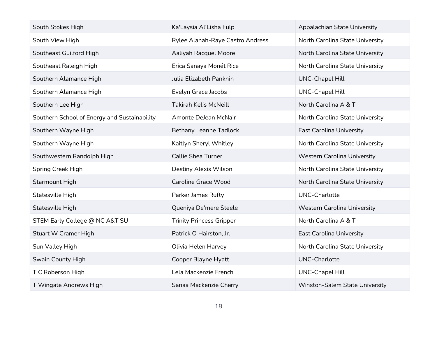| South Stokes High                            | Ka'Laysia Al'Lisha Fulp          | Appalachian State University       |
|----------------------------------------------|----------------------------------|------------------------------------|
| South View High                              | Rylee Alanah-Raye Castro Andress | North Carolina State University    |
| Southeast Guilford High                      | Aaliyah Racquel Moore            | North Carolina State University    |
| Southeast Raleigh High                       | Erica Sanaya Monét Rice          | North Carolina State University    |
| Southern Alamance High                       | Julia Elizabeth Panknin          | <b>UNC-Chapel Hill</b>             |
| Southern Alamance High                       | Evelyn Grace Jacobs              | <b>UNC-Chapel Hill</b>             |
| Southern Lee High                            | <b>Takirah Kelis McNeill</b>     | North Carolina A & T               |
| Southern School of Energy and Sustainability | Amonte DeJean McNair             | North Carolina State University    |
| Southern Wayne High                          | <b>Bethany Leanne Tadlock</b>    | <b>East Carolina University</b>    |
| Southern Wayne High                          | Kaitlyn Sheryl Whitley           | North Carolina State University    |
| Southwestern Randolph High                   | <b>Callie Shea Turner</b>        | <b>Western Carolina University</b> |
| Spring Creek High                            | Destiny Alexis Wilson            | North Carolina State University    |
| <b>Starmount High</b>                        | <b>Caroline Grace Wood</b>       | North Carolina State University    |
| Statesville High                             | <b>Parker James Rufty</b>        | <b>UNC-Charlotte</b>               |
| Statesville High                             | Queniya De'mere Steele           | <b>Western Carolina University</b> |
| STEM Early College @ NC A&T SU               | <b>Trinity Princess Gripper</b>  | North Carolina A & T               |
| <b>Stuart W Cramer High</b>                  | Patrick O Hairston, Jr.          | <b>East Carolina University</b>    |
| Sun Valley High                              | Olivia Helen Harvey              | North Carolina State University    |
| Swain County High                            | Cooper Blayne Hyatt              | <b>UNC-Charlotte</b>               |
| T C Roberson High                            | Lela Mackenzie French            | <b>UNC-Chapel Hill</b>             |
| T Wingate Andrews High                       | Sanaa Mackenzie Cherry           | Winston-Salem State University     |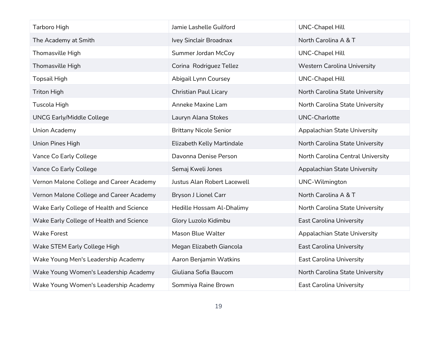| Tarboro High                             | Jamie Lashelle Guilford       | <b>UNC-Chapel Hill</b>             |
|------------------------------------------|-------------------------------|------------------------------------|
| The Academy at Smith                     | Ivey Sinclair Broadnax        | North Carolina A & T               |
| Thomasville High                         | Summer Jordan McCoy           | <b>UNC-Chapel Hill</b>             |
| Thomasville High                         | Corina Rodriguez Tellez       | <b>Western Carolina University</b> |
| <b>Topsail High</b>                      | Abigail Lynn Coursey          | <b>UNC-Chapel Hill</b>             |
| <b>Triton High</b>                       | <b>Christian Paul Licary</b>  | North Carolina State University    |
| Tuscola High                             | Anneke Maxine Lam             | North Carolina State University    |
| <b>UNCG Early/Middle College</b>         | Lauryn Alana Stokes           | <b>UNC-Charlotte</b>               |
| Union Academy                            | <b>Brittany Nicole Senior</b> | Appalachian State University       |
| Union Pines High                         | Elizabeth Kelly Martindale    | North Carolina State University    |
| Vance Co Early College                   | Davonna Denise Person         | North Carolina Central University  |
| Vance Co Early College                   | Semaj Kweli Jones             | Appalachian State University       |
| Vernon Malone College and Career Academy | Justus Alan Robert Lacewell   | UNC-Wilmington                     |
| Vernon Malone College and Career Academy | Bryson J Lionel Carr          | North Carolina A & T               |
| Wake Early College of Health and Science | Hedille Hossam Al-Dhalimy     | North Carolina State University    |
| Wake Early College of Health and Science | Glory Luzolo Kidimbu          | <b>East Carolina University</b>    |
| <b>Wake Forest</b>                       | Mason Blue Walter             | Appalachian State University       |
| Wake STEM Early College High             | Megan Elizabeth Giancola      | <b>East Carolina University</b>    |
| Wake Young Men's Leadership Academy      | Aaron Benjamin Watkins        | <b>East Carolina University</b>    |
| Wake Young Women's Leadership Academy    | Giuliana Sofia Baucom         | North Carolina State University    |
| Wake Young Women's Leadership Academy    | Sommiya Raine Brown           | <b>East Carolina University</b>    |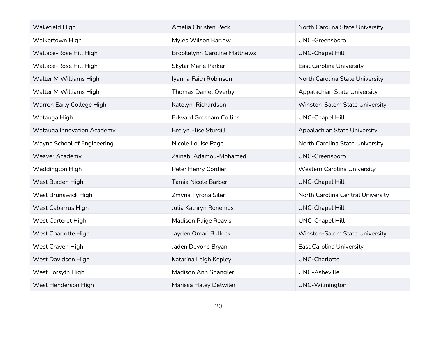| Wakefield High                    | Amelia Christen Peck                | North Carolina State University    |
|-----------------------------------|-------------------------------------|------------------------------------|
| Walkertown High                   | Myles Wilson Barlow                 | <b>UNC-Greensboro</b>              |
| Wallace-Rose Hill High            | <b>Brookelynn Caroline Matthews</b> | <b>UNC-Chapel Hill</b>             |
| Wallace-Rose Hill High            | <b>Skylar Marie Parker</b>          | East Carolina University           |
| Walter M Williams High            | Iyanna Faith Robinson               | North Carolina State University    |
| Walter M Williams High            | <b>Thomas Daniel Overby</b>         | Appalachian State University       |
| Warren Early College High         | Katelyn Richardson                  | Winston-Salem State University     |
| Watauga High                      | <b>Edward Gresham Collins</b>       | <b>UNC-Chapel Hill</b>             |
| <b>Watauga Innovation Academy</b> | <b>Brelyn Elise Sturgill</b>        | Appalachian State University       |
| Wayne School of Engineering       | Nicole Louise Page                  | North Carolina State University    |
| <b>Weaver Academy</b>             | Zainab Adamou-Mohamed               | <b>UNC-Greensboro</b>              |
| Weddington High                   | Peter Henry Cordier                 | <b>Western Carolina University</b> |
| West Bladen High                  | Tamia Nicole Barber                 | <b>UNC-Chapel Hill</b>             |
| West Brunswick High               | Zmyria Tyrona Siler                 | North Carolina Central University  |
| West Cabarrus High                | Julia Kathryn Ronemus               | <b>UNC-Chapel Hill</b>             |
| West Carteret High                | <b>Madison Paige Reavis</b>         | <b>UNC-Chapel Hill</b>             |
| West Charlotte High               | Jayden Omari Bullock                | Winston-Salem State University     |
| West Craven High                  | Jaden Devone Bryan                  | <b>East Carolina University</b>    |
| West Davidson High                | Katarina Leigh Kepley               | <b>UNC-Charlotte</b>               |
| West Forsyth High                 | Madison Ann Spangler                | <b>UNC-Asheville</b>               |
| West Henderson High               | Marissa Haley Detwiler              | UNC-Wilmington                     |